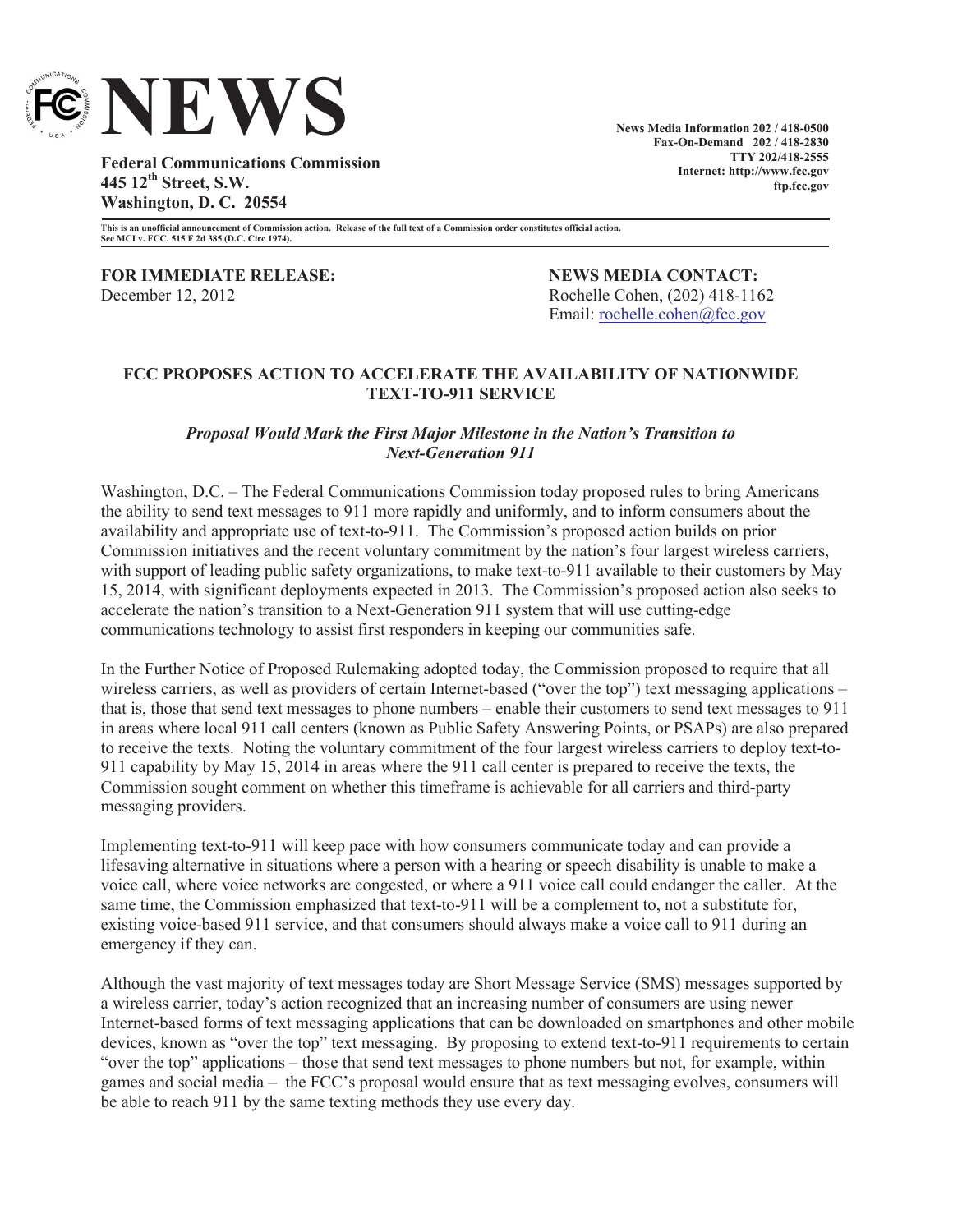

**News Media Information 202 / 418-0500 Fax-On-Demand 202 / 418-2830 TTY 202/418-2555 Internet: http://www.fcc.gov ftp.fcc.gov**

**Federal Communications Commission 445 12th Street, S.W. Washington, D. C. 20554**

**This is an unofficial announcement of Commission action. Release of the full text of a Commission order constitutes official action. See MCI v. FCC. 515 F 2d 385 (D.C. Circ 1974).**

**FOR IMMEDIATE RELEASE: NEWS MEDIA CONTACT:** December 12, 2012 Rochelle Cohen, (202) 418-1162

Email: <u>rochelle.cohen@fcc.gov</u>

## **FCC PROPOSES ACTION TO ACCELERATE THE AVAILABILITY OF NATIONWIDE TEXT-TO-911 SERVICE**

## *Proposal Would Mark the First Major Milestone in the Nation's Transition to Next-Generation 911*

Washington, D.C. – The Federal Communications Commission today proposed rules to bring Americans the ability to send text messages to 911 more rapidly and uniformly, and to inform consumers about the availability and appropriate use of text-to-911. The Commission's proposed action builds on prior Commission initiatives and the recent voluntary commitment by the nation's four largest wireless carriers, with support of leading public safety organizations, to make text-to-911 available to their customers by May 15, 2014, with significant deployments expected in 2013. The Commission's proposed action also seeks to accelerate the nation's transition to a Next-Generation 911 system that will use cutting-edge communications technology to assist first responders in keeping our communities safe.

In the Further Notice of Proposed Rulemaking adopted today, the Commission proposed to require that all wireless carriers, as well as providers of certain Internet-based ("over the top") text messaging applications – that is, those that send text messages to phone numbers – enable their customers to send text messages to 911 in areas where local 911 call centers (known as Public Safety Answering Points, or PSAPs) are also prepared to receive the texts. Noting the voluntary commitment of the four largest wireless carriers to deploy text-to-911 capability by May 15, 2014 in areas where the 911 call center is prepared to receive the texts, the Commission sought comment on whether this timeframe is achievable for all carriers and third-party messaging providers.

Implementing text-to-911 will keep pace with how consumers communicate today and can provide a lifesaving alternative in situations where a person with a hearing or speech disability is unable to make a voice call, where voice networks are congested, or where a 911 voice call could endanger the caller. At the same time, the Commission emphasized that text-to-911 will be a complement to, not a substitute for, existing voice-based 911 service, and that consumers should always make a voice call to 911 during an emergency if they can.

Although the vast majority of text messages today are Short Message Service (SMS) messages supported by a wireless carrier, today's action recognized that an increasing number of consumers are using newer Internet-based forms of text messaging applications that can be downloaded on smartphones and other mobile devices, known as "over the top" text messaging. By proposing to extend text-to-911 requirements to certain "over the top" applications – those that send text messages to phone numbers but not, for example, within games and social media – the FCC's proposal would ensure that as text messaging evolves, consumers will be able to reach 911 by the same texting methods they use every day.